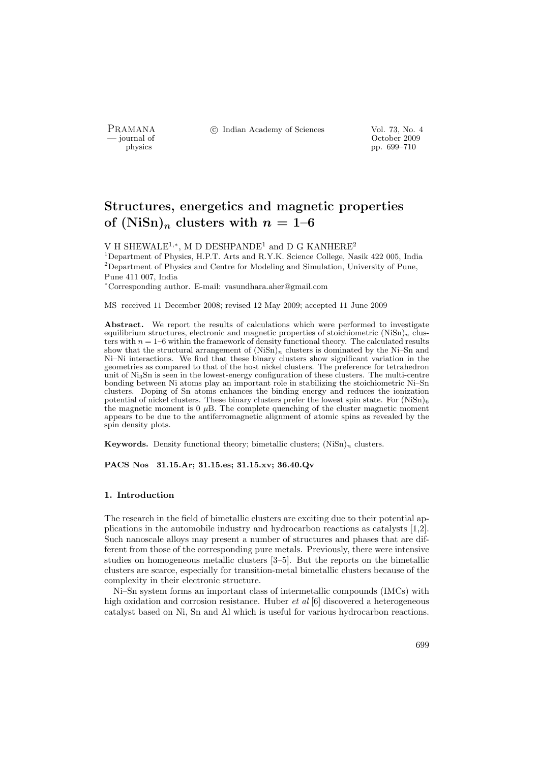PRAMANA <sup>C</sup> Indian Academy of Sciences Vol. 73, No. 4<br>
— journal of Cortober 2009

physics and the contract of the contract of the contract of the contract of the contract of the contract of the contract of the contract of the contract of the contract of the contract of the contract of the contract of th pp. 699–710

# Structures, energetics and magnetic properties of  $(NiSn)<sub>n</sub>$  clusters with  $n = 1-6$

V H SHEWALE<sup>1,\*</sup>, M D DESHPANDE<sup>1</sup> and D G KANHERE<sup>2</sup>

<sup>1</sup>Department of Physics, H.P.T. Arts and R.Y.K. Science College, Nasik 422 005, India <sup>2</sup>Department of Physics and Centre for Modeling and Simulation, University of Pune, Pune 411 007, India

<sup>∗</sup>Corresponding author. E-mail: vasundhara.aher@gmail.com

MS received 11 December 2008; revised 12 May 2009; accepted 11 June 2009

Abstract. We report the results of calculations which were performed to investigate equilibrium structures, electronic and magnetic properties of stoichiometric  $(NiSn)_n$  clusters with  $n = 1-6$  within the framework of density functional theory. The calculated results show that the structural arrangement of  $(NiSn)<sub>n</sub>$  clusters is dominated by the Ni–Sn and Ni–Ni interactions. We find that these binary clusters show significant variation in the geometries as compared to that of the host nickel clusters. The preference for tetrahedron unit of Ni3Sn is seen in the lowest-energy configuration of these clusters. The multi-centre bonding between Ni atoms play an important role in stabilizing the stoichiometric Ni–Sn clusters. Doping of Sn atoms enhances the binding energy and reduces the ionization potential of nickel clusters. These binary clusters prefer the lowest spin state. For  $(NiSn)_6$ the magnetic moment is  $0 \mu B$ . The complete quenching of the cluster magnetic moment appears to be due to the antiferromagnetic alignment of atomic spins as revealed by the spin density plots.

**Keywords.** Density functional theory; bimetallic clusters;  $(NiSn)<sub>n</sub>$  clusters.

PACS Nos 31.15.Ar; 31.15.es; 31.15.xv; 36.40.Qv

#### 1. Introduction

The research in the field of bimetallic clusters are exciting due to their potential applications in the automobile industry and hydrocarbon reactions as catalysts [1,2]. Such nanoscale alloys may present a number of structures and phases that are different from those of the corresponding pure metals. Previously, there were intensive studies on homogeneous metallic clusters [3–5]. But the reports on the bimetallic clusters are scarce, especially for transition-metal bimetallic clusters because of the complexity in their electronic structure.

Ni–Sn system forms an important class of intermetallic compounds (IMCs) with high oxidation and corrosion resistance. Huber *et al*  $[6]$  discovered a heterogeneous catalyst based on Ni, Sn and Al which is useful for various hydrocarbon reactions.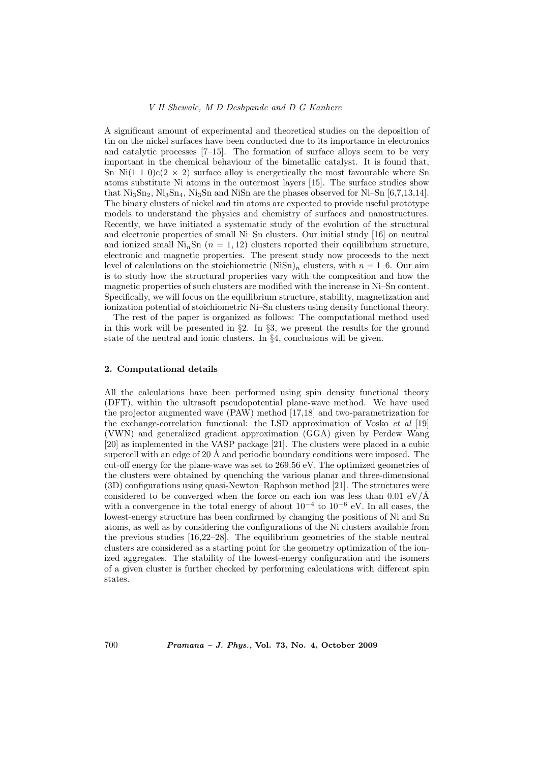#### V H Shewale, M D Deshpande and D G Kanhere

A significant amount of experimental and theoretical studies on the deposition of tin on the nickel surfaces have been conducted due to its importance in electronics and catalytic processes [7–15]. The formation of surface alloys seem to be very important in the chemical behaviour of the bimetallic catalyst. It is found that, Sn–Ni(1 1 0)c(2  $\times$  2) surface alloy is energetically the most favourable where Sn atoms substitute Ni atoms in the outermost layers [15]. The surface studies show that  $Ni_3Sn_2$ ,  $Ni_3Sn_4$ ,  $Ni_3Sn$  and  $NiSn$  are the phases observed for  $Ni-Sn$  [6,7,13,14]. The binary clusters of nickel and tin atoms are expected to provide useful prototype models to understand the physics and chemistry of surfaces and nanostructures. Recently, we have initiated a systematic study of the evolution of the structural and electronic properties of small Ni–Sn clusters. Our initial study [16] on neutral and ionized small  $\mathrm{Ni}_n\mathrm{Sn}$  ( $n = 1, 12$ ) clusters reported their equilibrium structure, electronic and magnetic properties. The present study now proceeds to the next level of calculations on the stoichiometric  $(NiSn)<sub>n</sub>$  clusters, with  $n = 1-6$ . Our aim is to study how the structural properties vary with the composition and how the magnetic properties of such clusters are modified with the increase in Ni–Sn content. Specifically, we will focus on the equilibrium structure, stability, magnetization and ionization potential of stoichiometric Ni–Sn clusters using density functional theory.

The rest of the paper is organized as follows: The computational method used in this work will be presented in  $\S 2$ . In  $\S 3$ , we present the results for the ground state of the neutral and ionic clusters. In §4, conclusions will be given.

## 2. Computational details

All the calculations have been performed using spin density functional theory (DFT), within the ultrasoft pseudopotential plane-wave method. We have used the projector augmented wave (PAW) method [17,18] and two-parametrization for the exchange-correlation functional: the LSD approximation of Vosko et al [19] (VWN) and generalized gradient approximation (GGA) given by Perdew–Wang [20] as implemented in the VASP package [21]. The clusters were placed in a cubic supercell with an edge of 20  $\AA$  and periodic boundary conditions were imposed. The cut-off energy for the plane-wave was set to 269.56 eV. The optimized geometries of the clusters were obtained by quenching the various planar and three-dimensional (3D) configurations using quasi-Newton–Raphson method [21]. The structures were considered to be converged when the force on each ion was less than  $0.01 \text{ eV}/\text{\AA}$ with a convergence in the total energy of about  $10^{-4}$  to  $10^{-6}$  eV. In all cases, the lowest-energy structure has been confirmed by changing the positions of Ni and Sn atoms, as well as by considering the configurations of the Ni clusters available from the previous studies [16,22–28]. The equilibrium geometries of the stable neutral clusters are considered as a starting point for the geometry optimization of the ionized aggregates. The stability of the lowest-energy configuration and the isomers of a given cluster is further checked by performing calculations with different spin states.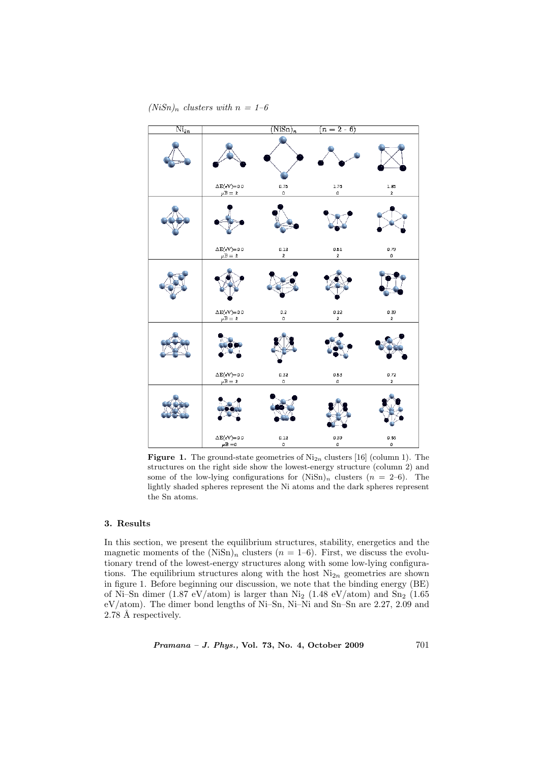# $(NiSn)<sub>n</sub>$  clusters with  $n = 1-6$



**Figure 1.** The ground-state geometries of  $\text{Ni}_{2n}$  clusters [16] (column 1). The structures on the right side show the lowest-energy structure (column 2) and some of the low-lying configurations for  $(NiSn)<sub>n</sub>$  clusters  $(n = 2-6)$ . The lightly shaded spheres represent the Ni atoms and the dark spheres represent the Sn atoms.

# 3. Results

In this section, we present the equilibrium structures, stability, energetics and the magnetic moments of the  $(N\ddot{\text{sn}})_n$  clusters  $(n = 1-6)$ . First, we discuss the evolutionary trend of the lowest-energy structures along with some low-lying configurations. The equilibrium structures along with the host  $Ni_{2n}$  geometries are shown in figure 1. Before beginning our discussion, we note that the binding energy (BE) of Ni–Sn dimer (1.87 eV/atom) is larger than Ni<sub>2</sub> (1.48 eV/atom) and Sn<sub>2</sub> (1.65 eV/atom). The dimer bond lengths of Ni–Sn, Ni–Ni and Sn–Sn are 2.27, 2.09 and 2.78 Å respectively.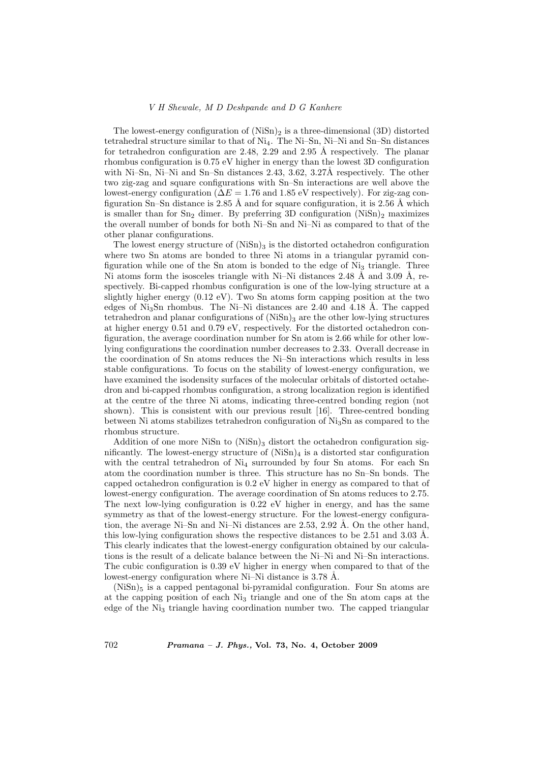#### V H Shewale, M D Deshpande and D G Kanhere

The lowest-energy configuration of  $(NiSn)_2$  is a three-dimensional  $(3D)$  distorted tetrahedral structure similar to that of  $Ni<sub>4</sub>$ . The Ni–Sn, Ni–Ni and Sn–Sn distances for tetrahedron configuration are 2.48, 2.29 and 2.95 Å respectively. The planar rhombus configuration is 0.75 eV higher in energy than the lowest 3D configuration with Ni–Sn, Ni–Ni and Sn–Sn distances 2.43, 3.62, 3.27Å respectively. The other two zig-zag and square configurations with Sn–Sn interactions are well above the lowest-energy configuration ( $\Delta E = 1.76$  and 1.85 eV respectively). For zig-zag configuration Sn–Sn distance is 2.85 Å and for square configuration, it is 2.56 Å which is smaller than for  $Sn_2$  dimer. By preferring 3D configuration  $(NiSn)_2$  maximizes the overall number of bonds for both Ni–Sn and Ni–Ni as compared to that of the other planar configurations.

The lowest energy structure of  $(NiSn)_3$  is the distorted octahedron configuration where two Sn atoms are bonded to three Ni atoms in a triangular pyramid configuration while one of the Sn atom is bonded to the edge of  $Ni<sub>3</sub>$  triangle. Three Ni atoms form the isosceles triangle with Ni–Ni distances 2.48 Å and 3.09 Å, respectively. Bi-capped rhombus configuration is one of the low-lying structure at a slightly higher energy  $(0.12 \text{ eV})$ . Two Sn atoms form capping position at the two edges of Ni<sub>3</sub>Sn rhombus. The Ni–Ni distances are 2.40 and 4.18 Å. The capped tetrahedron and planar configurations of  $(NiSn)$ <sub>3</sub> are the other low-lying structures at higher energy 0.51 and 0.79 eV, respectively. For the distorted octahedron configuration, the average coordination number for Sn atom is 2.66 while for other lowlying configurations the coordination number decreases to 2.33. Overall decrease in the coordination of Sn atoms reduces the Ni–Sn interactions which results in less stable configurations. To focus on the stability of lowest-energy configuration, we have examined the isodensity surfaces of the molecular orbitals of distorted octahedron and bi-capped rhombus configuration, a strong localization region is identified at the centre of the three Ni atoms, indicating three-centred bonding region (not shown). This is consistent with our previous result [16]. Three-centred bonding between Ni atoms stabilizes tetrahedron configuration of Ni3Sn as compared to the rhombus structure.

Addition of one more NiSn to  $(NiSn)_3$  distort the octahedron configuration significantly. The lowest-energy structure of  $(NiSn)_4$  is a distorted star configuration with the central tetrahedron of  $Ni<sub>4</sub>$  surrounded by four Sn atoms. For each Sn atom the coordination number is three. This structure has no Sn–Sn bonds. The capped octahedron configuration is 0.2 eV higher in energy as compared to that of lowest-energy configuration. The average coordination of Sn atoms reduces to 2.75. The next low-lying configuration is 0.22 eV higher in energy, and has the same symmetry as that of the lowest-energy structure. For the lowest-energy configuration, the average Ni–Sn and Ni–Ni distances are 2.53, 2.92 Å. On the other hand, this low-lying configuration shows the respective distances to be  $2.51$  and  $3.03$  Å. This clearly indicates that the lowest-energy configuration obtained by our calculations is the result of a delicate balance between the Ni–Ni and Ni–Sn interactions. The cubic configuration is 0.39 eV higher in energy when compared to that of the lowest-energy configuration where  $Ni-Ni$  distance is 3.78 Å.

 $(NiSn)$ <sub>5</sub> is a capped pentagonal bi-pyramidal configuration. Four Sn atoms are at the capping position of each Ni<sup>3</sup> triangle and one of the Sn atom caps at the edge of the Ni<sub>3</sub> triangle having coordination number two. The capped triangular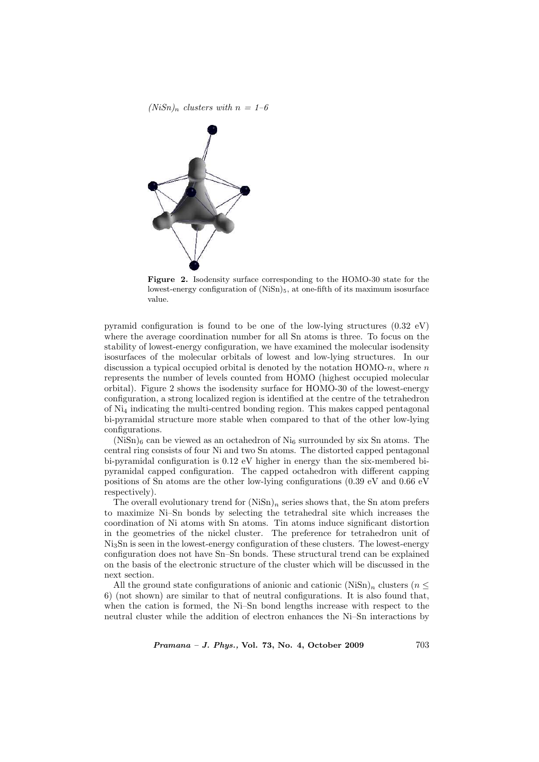

Figure 2. Isodensity surface corresponding to the HOMO-30 state for the lowest-energy configuration of  $(NiSn)_5$ , at one-fifth of its maximum isosurface value.

pyramid configuration is found to be one of the low-lying structures  $(0.32 \text{ eV})$ where the average coordination number for all Sn atoms is three. To focus on the stability of lowest-energy configuration, we have examined the molecular isodensity isosurfaces of the molecular orbitals of lowest and low-lying structures. In our discussion a typical occupied orbital is denoted by the notation  $HOMO-n$ , where n represents the number of levels counted from HOMO (highest occupied molecular orbital). Figure 2 shows the isodensity surface for HOMO-30 of the lowest-energy configuration, a strong localized region is identified at the centre of the tetrahedron of Ni<sup>4</sup> indicating the multi-centred bonding region. This makes capped pentagonal bi-pyramidal structure more stable when compared to that of the other low-lying configurations.

 $(NiSn)$ <sub>6</sub> can be viewed as an octahedron of Ni<sub>6</sub> surrounded by six Sn atoms. The central ring consists of four Ni and two Sn atoms. The distorted capped pentagonal bi-pyramidal configuration is 0.12 eV higher in energy than the six-membered bipyramidal capped configuration. The capped octahedron with different capping positions of Sn atoms are the other low-lying configurations (0.39 eV and 0.66 eV respectively).

The overall evolutionary trend for  $(NiSn)<sub>n</sub>$  series shows that, the Sn atom prefers to maximize Ni–Sn bonds by selecting the tetrahedral site which increases the coordination of Ni atoms with Sn atoms. Tin atoms induce significant distortion in the geometries of the nickel cluster. The preference for tetrahedron unit of Ni3Sn is seen in the lowest-energy configuration of these clusters. The lowest-energy configuration does not have Sn–Sn bonds. These structural trend can be explained on the basis of the electronic structure of the cluster which will be discussed in the next section.

All the ground state configurations of anionic and cationic (NiSn)<sub>n</sub> clusters ( $n \leq$ 6) (not shown) are similar to that of neutral configurations. It is also found that, when the cation is formed, the Ni–Sn bond lengths increase with respect to the neutral cluster while the addition of electron enhances the Ni–Sn interactions by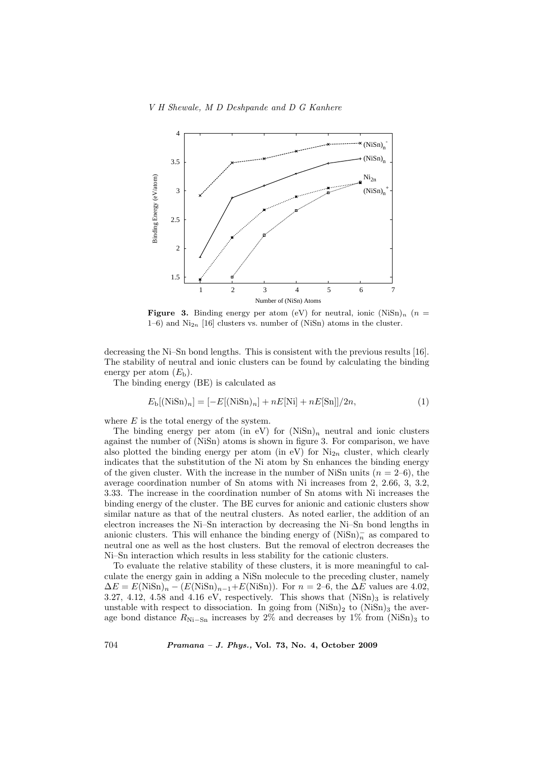

**Figure 3.** Binding energy per atom (eV) for neutral, ionic  $(NiSn)<sub>n</sub>$  (n =  $1-6$ ) and  $\text{Ni}_{2n}$  [16] clusters vs. number of (NiSn) atoms in the cluster.

decreasing the Ni–Sn bond lengths. This is consistent with the previous results [16]. The stability of neutral and ionic clusters can be found by calculating the binding energy per atom  $(E<sub>b</sub>)$ .

The binding energy (BE) is calculated as

$$
E_{\rm b}[(\text{NiSn})_n] = [-E[(\text{NiSn})_n] + nE[\text{Ni}] + nE[\text{Sn}]]/2n,
$$
\n(1)

where  $E$  is the total energy of the system.

The binding energy per atom (in eV) for  $(NiSn)<sub>n</sub>$  neutral and ionic clusters against the number of (NiSn) atoms is shown in figure 3. For comparison, we have also plotted the binding energy per atom (in eV) for  $\mathrm{Ni}_{2n}$  cluster, which clearly indicates that the substitution of the Ni atom by Sn enhances the binding energy of the given cluster. With the increase in the number of NiSn units ( $n = 2-6$ ), the average coordination number of Sn atoms with Ni increases from 2, 2.66, 3, 3.2, 3.33. The increase in the coordination number of Sn atoms with Ni increases the binding energy of the cluster. The BE curves for anionic and cationic clusters show similar nature as that of the neutral clusters. As noted earlier, the addition of an electron increases the Ni–Sn interaction by decreasing the Ni–Sn bond lengths in anionic clusters. This will enhance the binding energy of  $(NiSn)<sub>n</sub>$ <sup>-</sup> as compared to neutral one as well as the host clusters. But the removal of electron decreases the Ni–Sn interaction which results in less stability for the cationic clusters.

To evaluate the relative stability of these clusters, it is more meaningful to calculate the energy gain in adding a NiSn molecule to the preceding cluster, namely  $\Delta E = E(NiSn)_n - (E(NiSn)_{n-1} + E(NiSn))$ . For  $n = 2$ –6, the  $\Delta E$  values are 4.02, 3.27, 4.12, 4.58 and 4.16 eV, respectively. This shows that  $(NiSn)_3$  is relatively unstable with respect to dissociation. In going from  $(NiSn)_2$  to  $(NiSn)_3$  the average bond distance  $R_{\text{Ni}-\text{Sn}}$  increases by 2% and decreases by 1% from (NiSn)<sub>3</sub> to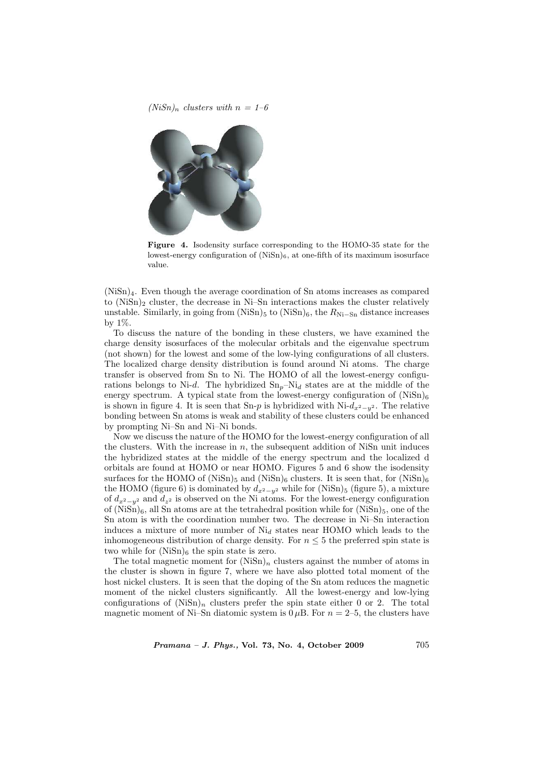$(NiSn)_n$  clusters with  $n = 1-6$ 



Figure 4. Isodensity surface corresponding to the HOMO-35 state for the lowest-energy configuration of  $(NiSn)_6$ , at one-fifth of its maximum isosurface value.

(NiSn)4. Even though the average coordination of Sn atoms increases as compared to  $(NiSn)_2$  cluster, the decrease in Ni–Sn interactions makes the cluster relatively unstable. Similarly, in going from  $(NiSn)_5$  to  $(NiSn)_6$ , the  $R_{Ni-Sn}$  distance increases by 1%.

To discuss the nature of the bonding in these clusters, we have examined the charge density isosurfaces of the molecular orbitals and the eigenvalue spectrum (not shown) for the lowest and some of the low-lying configurations of all clusters. The localized charge density distribution is found around Ni atoms. The charge transfer is observed from Sn to Ni. The HOMO of all the lowest-energy configurations belongs to Ni-d. The hybridized  $\text{Sn}_p-\text{Ni}_d$  states are at the middle of the energy spectrum. A typical state from the lowest-energy configuration of  $(NiSn)_6$ is shown in figure 4. It is seen that Sn-p is hybridized with Ni- $d_{x^2-y^2}$ . The relative bonding between Sn atoms is weak and stability of these clusters could be enhanced by prompting Ni–Sn and Ni–Ni bonds.

Now we discuss the nature of the HOMO for the lowest-energy configuration of all the clusters. With the increase in  $n$ , the subsequent addition of NiSn unit induces the hybridized states at the middle of the energy spectrum and the localized d orbitals are found at HOMO or near HOMO. Figures 5 and 6 show the isodensity surfaces for the HOMO of (NiSn)<sub>5</sub> and (NiSn)<sub>6</sub> clusters. It is seen that, for (NiSn)<sub>6</sub> the HOMO (figure 6) is dominated by  $d_{x^2-y^2}$  while for (NiSn)<sub>5</sub> (figure 5), a mixture of  $d_{x^2-y^2}$  and  $d_{z^2}$  is observed on the Ni atoms. For the lowest-energy configuration of  $(NiSn)_6$ , all Sn atoms are at the tetrahedral position while for  $(NiSn)_5$ , one of the Sn atom is with the coordination number two. The decrease in Ni–Sn interaction induces a mixture of more number of  $\mathrm{Ni}_{d}$  states near HOMO which leads to the inhomogeneous distribution of charge density. For  $n \leq 5$  the preferred spin state is two while for  $(NiSn)_6$  the spin state is zero.

The total magnetic moment for  $(NiSn)_n$  clusters against the number of atoms in the cluster is shown in figure 7, where we have also plotted total moment of the host nickel clusters. It is seen that the doping of the Sn atom reduces the magnetic moment of the nickel clusters significantly. All the lowest-energy and low-lying configurations of  $(NiSn)<sub>n</sub>$  clusters prefer the spin state either 0 or 2. The total magnetic moment of Ni–Sn diatomic system is  $0 \mu B$ . For  $n = 2-5$ , the clusters have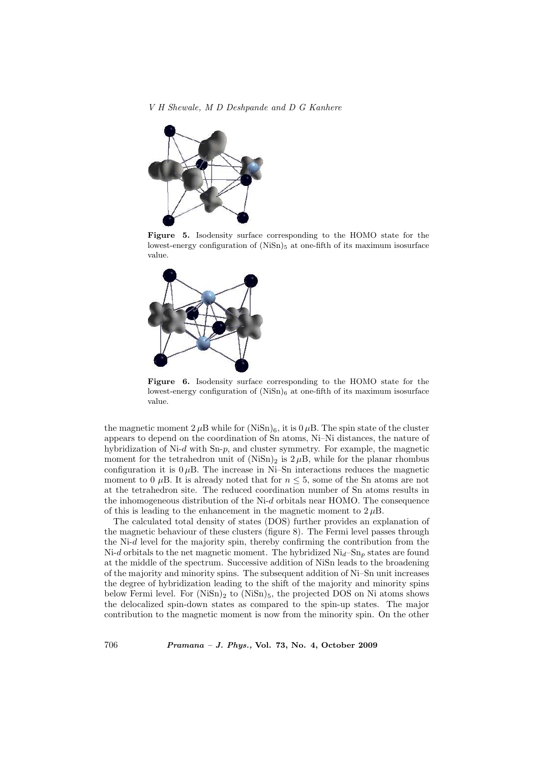V H Shewale, M D Deshpande and D G Kanhere



Figure 5. Isodensity surface corresponding to the HOMO state for the lowest-energy configuration of  $(NiSn)_5$  at one-fifth of its maximum isosurface value.



Figure 6. Isodensity surface corresponding to the HOMO state for the lowest-energy configuration of  $(NiSn)_6$  at one-fifth of its maximum isosurface value.

the magnetic moment  $2 \mu B$  while for  $(NiSn)_6$ , it is  $0 \mu B$ . The spin state of the cluster appears to depend on the coordination of Sn atoms, Ni–Ni distances, the nature of hybridization of Ni-d with Sn-p, and cluster symmetry. For example, the magnetic moment for the tetrahedron unit of  $(NiSn)_2$  is  $2 \mu B$ , while for the planar rhombus configuration it is  $0 \mu B$ . The increase in Ni–Sn interactions reduces the magnetic moment to 0  $\mu$ B. It is already noted that for  $n \leq 5$ , some of the Sn atoms are not at the tetrahedron site. The reduced coordination number of Sn atoms results in the inhomogeneous distribution of the  $Ni-d$  orbitals near HOMO. The consequence of this is leading to the enhancement in the magnetic moment to  $2 \mu B$ .

The calculated total density of states (DOS) further provides an explanation of the magnetic behaviour of these clusters (figure 8). The Fermi level passes through the Ni- $d$  level for the majority spin, thereby confirming the contribution from the Ni-d orbitals to the net magnetic moment. The hybridized  $\text{Ni}_{d}$ -Sn<sub>p</sub> states are found at the middle of the spectrum. Successive addition of NiSn leads to the broadening of the majority and minority spins. The subsequent addition of Ni–Sn unit increases the degree of hybridization leading to the shift of the majority and minority spins below Fermi level. For  $(NiSn)_2$  to  $(NiSn)_5$ , the projected DOS on Ni atoms shows the delocalized spin-down states as compared to the spin-up states. The major contribution to the magnetic moment is now from the minority spin. On the other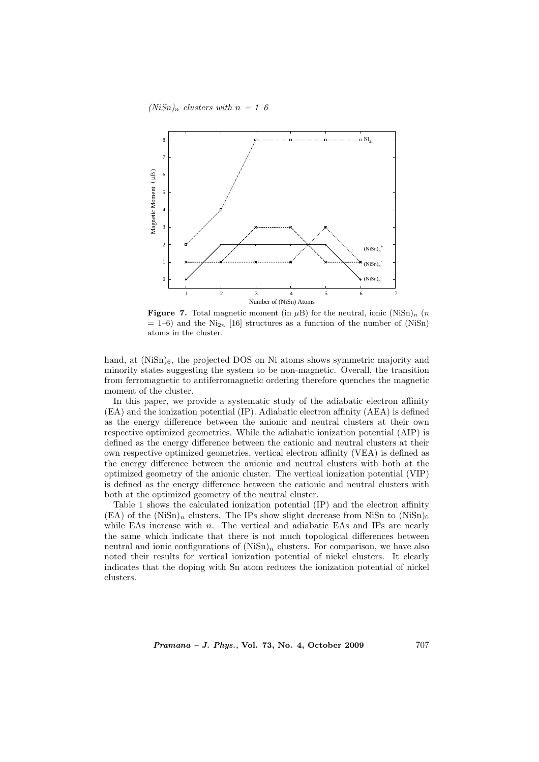$(NiSn)_n$  clusters with  $n = 1-6$ 



**Figure 7.** Total magnetic moment (in  $\mu$ B) for the neutral, ionic (NiSn)<sub>n</sub> (n  $= 1-6$ ) and the Ni<sub>2n</sub> [16] structures as a function of the number of (NiSn) atoms in the cluster.

hand, at  $(NiSn)_6$ , the projected DOS on Ni atoms shows symmetric majority and minority states suggesting the system to be non-magnetic. Overall, the transition from ferromagnetic to antiferromagnetic ordering therefore quenches the magnetic moment of the cluster.

In this paper, we provide a systematic study of the adiabatic electron affinity (EA) and the ionization potential (IP). Adiabatic electron affinity (AEA) is defined as the energy difference between the anionic and neutral clusters at their own respective optimized geometries. While the adiabatic ionization potential (AIP) is defined as the energy difference between the cationic and neutral clusters at their own respective optimized geometries, vertical electron affinity (VEA) is defined as the energy difference between the anionic and neutral clusters with both at the optimized geometry of the anionic cluster. The vertical ionization potential (VIP) is defined as the energy difference between the cationic and neutral clusters with both at the optimized geometry of the neutral cluster.

Table 1 shows the calculated ionization potential (IP) and the electron affinity  $(EA)$  of the  $(NiSn)_n$  clusters. The IPs show slight decrease from NiSn to  $(NiSn)_6$ while EAs increase with  $n$ . The vertical and adiabatic EAs and IPs are nearly the same which indicate that there is not much topological differences between neutral and ionic configurations of  $(NiSn)<sub>n</sub>$  clusters. For comparison, we have also noted their results for vertical ionization potential of nickel clusters. It clearly indicates that the doping with Sn atom reduces the ionization potential of nickel clusters.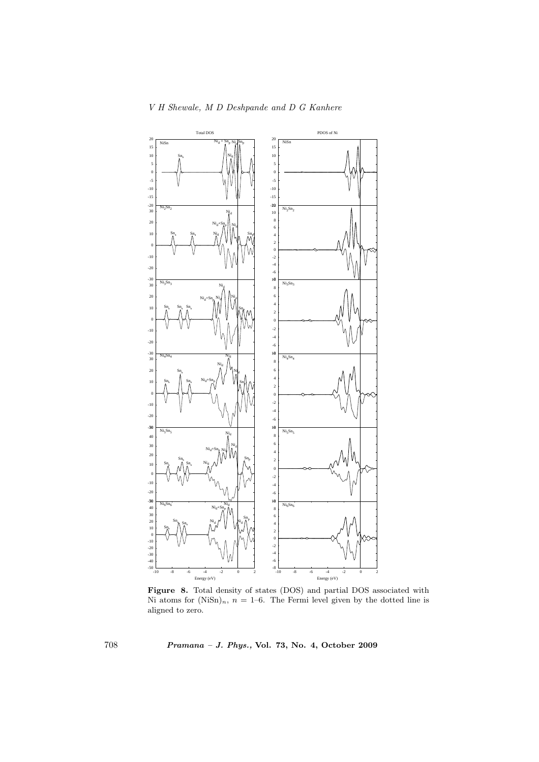

V H Shewale, M D Deshpande and D G Kanhere

Figure 8. Total density of states (DOS) and partial DOS associated with Ni atoms for  $(NiSn)<sub>n</sub>$ ,  $n = 1-6$ . The Fermi level given by the dotted line is aligned to zero.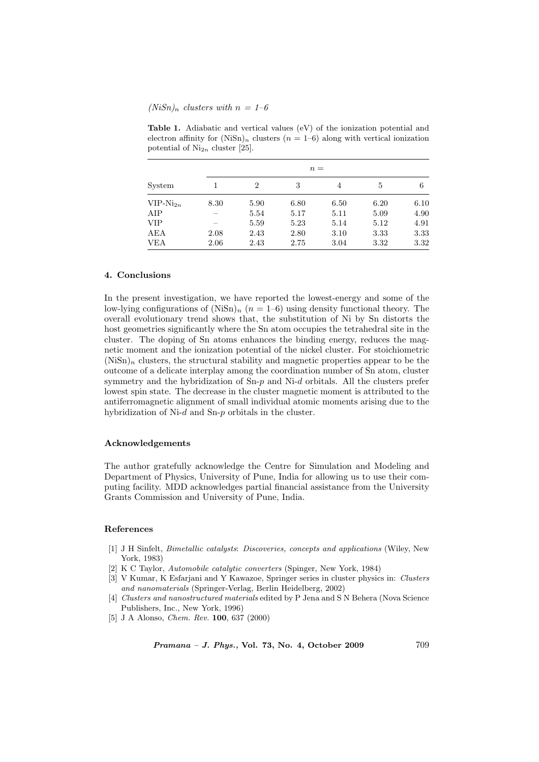# $(NiSn)<sub>n</sub>$  clusters with  $n = 1-6$

| System        |       |                |      |      |      |      |
|---------------|-------|----------------|------|------|------|------|
|               | $n =$ |                |      |      |      |      |
|               |       | $\overline{2}$ | 3    | 4    | 5    | 6    |
| $VIP-Ni_{2n}$ | 8.30  | 5.90           | 6.80 | 6.50 | 6.20 | 6.10 |
| AIP           |       | 5.54           | 5.17 | 5.11 | 5.09 | 4.90 |
| VIP           |       | 5.59           | 5.23 | 5.14 | 5.12 | 4.91 |
| <b>AEA</b>    | 2.08  | 2.43           | 2.80 | 3.10 | 3.33 | 3.33 |
| <b>VEA</b>    | 2.06  | 2.43           | 2.75 | 3.04 | 3.32 | 3.32 |

Table 1. Adiabatic and vertical values (eV) of the ionization potential and electron affinity for  $(NiSn)<sub>n</sub>$  clusters  $(n = 1-6)$  along with vertical ionization potential of  $Ni<sub>2n</sub>$  cluster [25].

#### 4. Conclusions

In the present investigation, we have reported the lowest-energy and some of the low-lying configurations of  $(NiSn)<sub>n</sub>$   $(n = 1-6)$  using density functional theory. The overall evolutionary trend shows that, the substitution of Ni by Sn distorts the host geometries significantly where the Sn atom occupies the tetrahedral site in the cluster. The doping of Sn atoms enhances the binding energy, reduces the magnetic moment and the ionization potential of the nickel cluster. For stoichiometric  $(NiSn)<sub>n</sub>$  clusters, the structural stability and magnetic properties appear to be the outcome of a delicate interplay among the coordination number of Sn atom, cluster symmetry and the hybridization of  $Sn-p$  and  $Ni-d$  orbitals. All the clusters prefer lowest spin state. The decrease in the cluster magnetic moment is attributed to the antiferromagnetic alignment of small individual atomic moments arising due to the hybridization of Ni-d and Sn-p orbitals in the cluster.

## Acknowledgements

The author gratefully acknowledge the Centre for Simulation and Modeling and Department of Physics, University of Pune, India for allowing us to use their computing facility. MDD acknowledges partial financial assistance from the University Grants Commission and University of Pune, India.

## References

- [1] J H Sinfelt, Bimetallic catalysts: Discoveries, concepts and applications (Wiley, New York, 1983)
- [2] K C Taylor, Automobile catalytic converters (Spinger, New York, 1984)
- [3] V Kumar, K Esfarjani and Y Kawazoe, Springer series in cluster physics in: Clusters and nanomaterials (Springer-Verlag, Berlin Heidelberg, 2002)
- [4] Clusters and nanostructured materials edited by P Jena and S N Behera (Nova Science Publishers, Inc., New York, 1996)
- [5] J A Alonso, Chem. Rev. 100, 637 (2000)